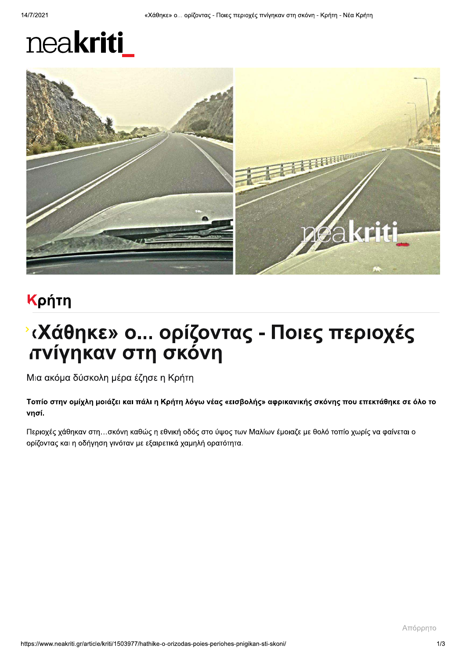# neakriti



# Κρήτη

# <sup>ν</sup> (Χάθηκε» ο... ορίζοντας - Ποιες περιοχές πνίγηκαν στη σκόνη

Μια ακόμα δύσκολη μέρα έζησε η Κρήτη

Τοπίο στην ομίχλη μοιάζει και πάλι η Κρήτη λόγω νέας «εισβολής» αφρικανικής σκόνης που επεκτάθηκε σε όλο το νησί.

Περιοχές χάθηκαν στη...σκόνη καθώς η εθνική οδός στο ύψος των Μαλίων έμοιαζε με θολό τοπίο χωρίς να φαίνεται ο ορίζοντας και η οδήγηση γινόταν με εξαιρετικά χαμηλή ορατότητα.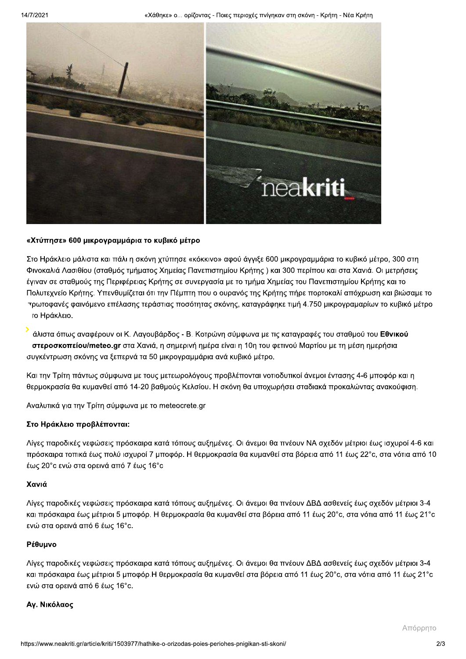«Χάθηκε» ο... ορίζοντας - Ποιες περιοχές πνίγηκαν στη σκόνη - Κρήτη - Νέα Κρήτη



#### «Χτύπησε» 600 μικρογραμμάρια το κυβικό μέτρο

Στο Ηράκλειο μάλιστα και πάλι η σκόνη χτύπησε «κόκκινο» αφού άγγιξε 600 μικρογραμμάρια το κυβικό μέτρο, 300 στη Φινοκαλιά Λασιθίου (σταθμός τμήματος Χημείας Πανεπιστημίου Κρήτης) και 300 περίπου και στα Χανιά. Οι μετρήσεις έγιναν σε σταθμούς της Περιφέρειας Κρήτης σε συνεργασία με το τμήμα Χημείας του Πανεπιστημίου Κρήτης και το Πολυτεχνείο Κρήτης. Υπενθυμίζεται ότι την Πέμπτη που ο ουρανός της Κρήτης πήρε πορτοκαλί απόχρωση και βιώσαμε το τρωτοφανές φαινόμενο επέλασης τεράστιας ποσότητας σκόνης, καταγράφηκε τιμή 4.750 μικρογραμαρίων το κυβικό μέτρο το Ηράκλειο.

άλιστα όπως αναφέρουν οι Κ. Λαγουβάρδος - Β. Κοτρώνη σύμφωνα με τις καταγραφές του σταθμού του Εθνικού στεροσκοπείου/meteo.gr στα Χανιά, η σημερινή ημέρα είναι η 10η του φετινού Μαρτίου με τη μέση ημερήσια συγκέντρωση σκόνης να ξεπερνά τα 50 μικρογραμμάρια ανά κυβικό μέτρο.

Και την Τρίτη πάντως σύμφωνα με τους μετεωρολόγους προβλέπονται νοτιοδυτικοί άνεμοι έντασης 4-6 μποφόρ και η θερμοκρασία θα κυμανθεί από 14-20 βαθμούς Κελσίου. Η σκόνη θα υποχωρήσει σταδιακά προκαλώντας ανακούφιση.

Αναλυτικά για την Τρίτη σύμφωνα με το meteocrete.gr

#### Στο Ηράκλειο προβλέπονται:

Λίγες παροδικές νεφώσεις πρόσκαιρα κατά τόπους αυξημένες. Οι άνεμοι θα πνέουν ΝΑ σχεδόν μέτριοι έως ισχυροί 4-6 και πρόσκαιρα τοπικά έως πολύ ισχυροί 7 μποφόρ. Η θερμοκρασία θα κυμανθεί στα βόρεια από 11 έως 22°c, στα νότια από 10 έως 20° c ενώ στα ορεινά από 7 έως 16° c

#### Χανιά

Λίγες παροδικές νεφώσεις πρόσκαιρα κατά τόπους αυξημένες. Οι άνεμοι θα πνέουν ΔΒΔ ασθενείς έως σχεδόν μέτριοι 3-4 και πρόσκαιρα έως μέτριοι 5 μποφόρ. Η θερμοκρασία θα κυμανθεί στα βόρεια από 11 έως 20°c, στα νότια από 11 έως 21°c ενώ στα ορεινά από 6 έως 16°c.

#### Ρέθυμνο

Λίγες παροδικές νεφώσεις πρόσκαιρα κατά τόπους αυξημένες. Οι άνεμοι θα πνέουν ΔΒΔ ασθενείς έως σχεδόν μέτριοι 3-4 και πρόσκαιρα έως μέτριοι 5 μποφόρ.Η θερμοκρασία θα κυμανθεί στα βόρεια από 11 έως 20°c, στα νότια από 11 έως 21°c ενώ στα ορεινά από 6 έως 16°c.

#### Αγ. Νικόλαος